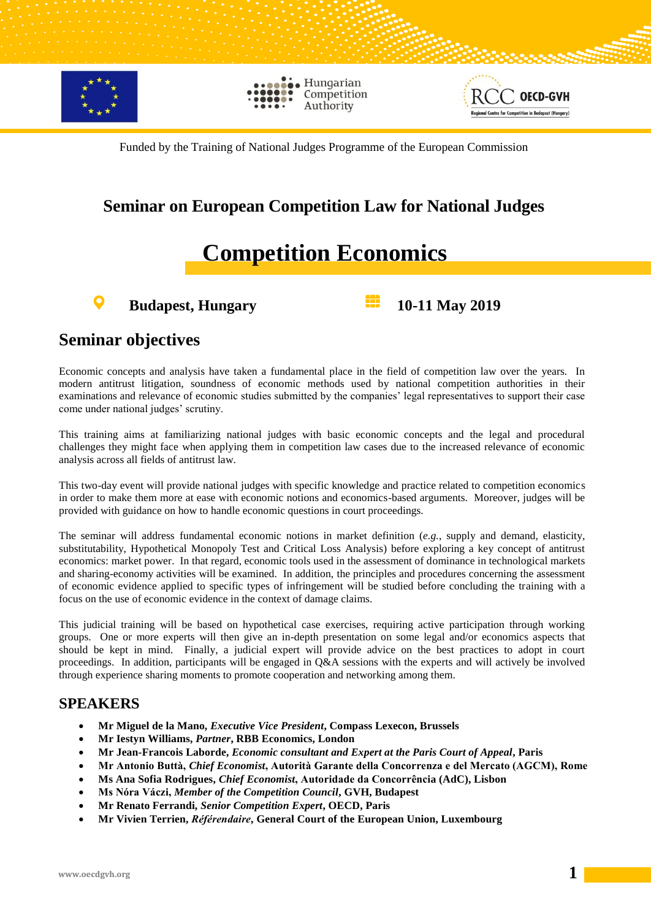

Hungarian Competition Authority



Funded by the Training of National Judges Programme of the European Commission

### **Seminar on European Competition Law for National Judges**

## **Competition Economics**

**Budapest, Hungary 10-11 May 2019** 

#### **Seminar objectives**

Economic concepts and analysis have taken a fundamental place in the field of competition law over the years. In modern antitrust litigation, soundness of economic methods used by national competition authorities in their examinations and relevance of economic studies submitted by the companies' legal representatives to support their case come under national judges' scrutiny.

This training aims at familiarizing national judges with basic economic concepts and the legal and procedural challenges they might face when applying them in competition law cases due to the increased relevance of economic analysis across all fields of antitrust law.

This two-day event will provide national judges with specific knowledge and practice related to competition economics in order to make them more at ease with economic notions and economics-based arguments. Moreover, judges will be provided with guidance on how to handle economic questions in court proceedings.

The seminar will address fundamental economic notions in market definition (*e.g.*, supply and demand, elasticity, substitutability, Hypothetical Monopoly Test and Critical Loss Analysis) before exploring a key concept of antitrust economics: market power. In that regard, economic tools used in the assessment of dominance in technological markets and sharing-economy activities will be examined. In addition, the principles and procedures concerning the assessment of economic evidence applied to specific types of infringement will be studied before concluding the training with a focus on the use of economic evidence in the context of damage claims.

This judicial training will be based on hypothetical case exercises, requiring active participation through working groups. One or more experts will then give an in-depth presentation on some legal and/or economics aspects that should be kept in mind. Finally, a judicial expert will provide advice on the best practices to adopt in court proceedings. In addition, participants will be engaged in Q&A sessions with the experts and will actively be involved through experience sharing moments to promote cooperation and networking among them.

#### **SPEAKERS**

- **Mr Miguel de la Mano,** *Executive Vice President***, Compass Lexecon, Brussels**
- **Mr Iestyn Williams,** *Partner***, RBB Economics, London**
- **Mr Jean-Francois Laborde,** *Economic consultant and Expert at the Paris Court of Appeal***, Paris**
- **Mr Antonio Buttà,** *Chief Economist***, Autorità Garante della Concorrenza e del Mercato (AGCM), Rome**
- **Ms Ana Sofia Rodrigues,** *Chief Economist***, Autoridade da Concorrência (AdC), Lisbon**
- **Ms Nóra Váczi,** *Member of the Competition Council***, GVH, Budapest**
- **Mr Renato Ferrandi,** *Senior Competition Expert***, OECD, Paris**
- **Mr Vivien Terrien,** *Référendaire***, General Court of the European Union, Luxembourg**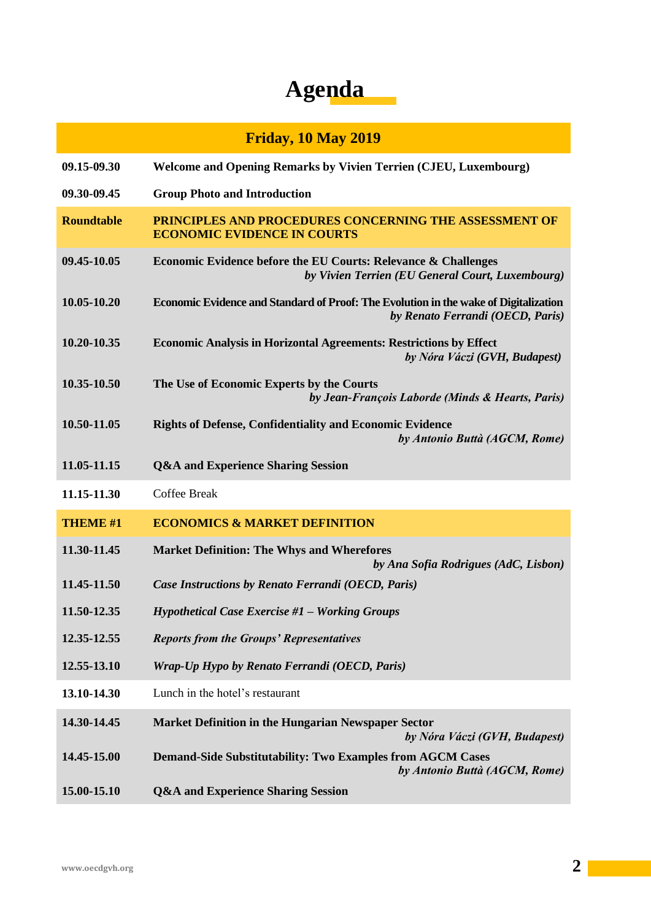# **Agenda**

|                   | <b>Friday, 10 May 2019</b>                                                                                               |
|-------------------|--------------------------------------------------------------------------------------------------------------------------|
| 09.15-09.30       | <b>Welcome and Opening Remarks by Vivien Terrien (CJEU, Luxembourg)</b>                                                  |
| 09.30-09.45       | <b>Group Photo and Introduction</b>                                                                                      |
| <b>Roundtable</b> | PRINCIPLES AND PROCEDURES CONCERNING THE ASSESSMENT OF<br><b>ECONOMIC EVIDENCE IN COURTS</b>                             |
| 09.45-10.05       | Economic Evidence before the EU Courts: Relevance & Challenges<br>by Vivien Terrien (EU General Court, Luxembourg)       |
| 10.05-10.20       | Economic Evidence and Standard of Proof: The Evolution in the wake of Digitalization<br>by Renato Ferrandi (OECD, Paris) |
| 10.20-10.35       | <b>Economic Analysis in Horizontal Agreements: Restrictions by Effect</b><br>by Nóra Váczi (GVH, Budapest)               |
| 10.35-10.50       | The Use of Economic Experts by the Courts<br>by Jean-François Laborde (Minds & Hearts, Paris)                            |
| 10.50-11.05       | <b>Rights of Defense, Confidentiality and Economic Evidence</b><br>by Antonio Buttà (AGCM, Rome)                         |
| 11.05-11.15       | <b>Q&amp;A and Experience Sharing Session</b>                                                                            |
| 11.15-11.30       | <b>Coffee Break</b>                                                                                                      |
| <b>THEME #1</b>   | <b>ECONOMICS &amp; MARKET DEFINITION</b>                                                                                 |
| 11.30-11.45       | <b>Market Definition: The Whys and Wherefores</b><br>by Ana Sofia Rodrigues (AdC, Lisbon)                                |
| 11.45-11.50       | Case Instructions by Renato Ferrandi (OECD, Paris)                                                                       |
| 11.50-12.35       | <b>Hypothetical Case Exercise #1 - Working Groups</b>                                                                    |
| 12.35-12.55       | <b>Reports from the Groups' Representatives</b>                                                                          |
| 12.55-13.10       | Wrap-Up Hypo by Renato Ferrandi (OECD, Paris)                                                                            |
| 13.10-14.30       | Lunch in the hotel's restaurant                                                                                          |
| 14.30-14.45       | <b>Market Definition in the Hungarian Newspaper Sector</b><br>by Nóra Váczi (GVH, Budapest)                              |
| 14.45-15.00       | <b>Demand-Side Substitutability: Two Examples from AGCM Cases</b><br>by Antonio Buttà (AGCM, Rome)                       |
| 15.00-15.10       | <b>Q&amp;A and Experience Sharing Session</b>                                                                            |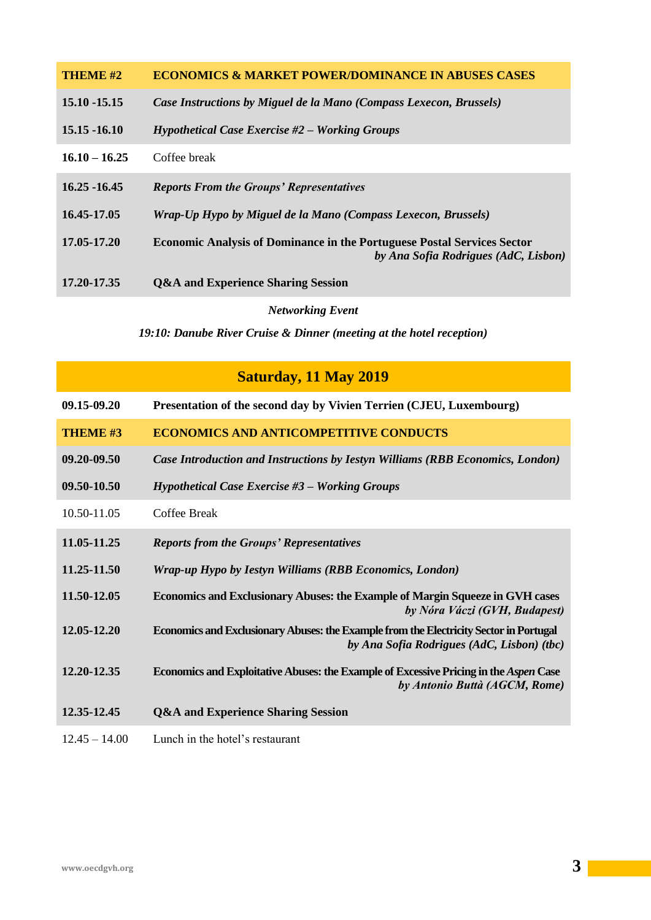| THEME #2        | <b>ECONOMICS &amp; MARKET POWER/DOMINANCE IN ABUSES CASES</b>                                                          |
|-----------------|------------------------------------------------------------------------------------------------------------------------|
| $15.10 - 15.15$ | Case Instructions by Miguel de la Mano (Compass Lexecon, Brussels)                                                     |
| $15.15 - 16.10$ | $H$ ypothetical Case Exercise #2 – Working Groups                                                                      |
| $16.10 - 16.25$ | Coffee break                                                                                                           |
| $16.25 - 16.45$ | <b>Reports From the Groups' Representatives</b>                                                                        |
| 16.45-17.05     | Wrap-Up Hypo by Miguel de la Mano (Compass Lexecon, Brussels)                                                          |
| 17.05-17.20     | <b>Economic Analysis of Dominance in the Portuguese Postal Services Sector</b><br>by Ana Sofia Rodrigues (AdC, Lisbon) |
| 17.20-17.35     | <b>Q&amp;A and Experience Sharing Session</b>                                                                          |

*Networking Event*

*19:10: Danube River Cruise & Dinner (meeting at the hotel reception)*

## **Saturday, 11 May 2019**

| 09.15-09.20     | Presentation of the second day by Vivien Terrien (CJEU, Luxembourg)                                                                  |
|-----------------|--------------------------------------------------------------------------------------------------------------------------------------|
| <b>THEME #3</b> | <b>ECONOMICS AND ANTICOMPETITIVE CONDUCTS</b>                                                                                        |
| 09.20-09.50     | Case Introduction and Instructions by Iestyn Williams (RBB Economics, London)                                                        |
| 09.50-10.50     | Hypothetical Case Exercise #3 - Working Groups                                                                                       |
| 10.50-11.05     | Coffee Break                                                                                                                         |
| 11.05-11.25     | <b>Reports from the Groups' Representatives</b>                                                                                      |
| 11.25-11.50     | Wrap-up Hypo by Iestyn Williams (RBB Economics, London)                                                                              |
| 11.50-12.05     | <b>Economics and Exclusionary Abuses: the Example of Margin Squeeze in GVH cases</b><br>by Nóra Váczi (GVH, Budapest)                |
| 12.05-12.20     | Economics and Exclusionary Abuses: the Example from the Electricity Sector in Portugal<br>by Ana Sofia Rodrigues (AdC, Lisbon) (tbc) |
| 12.20-12.35     | Economics and Exploitative Abuses: the Example of Excessive Pricing in the Aspen Case<br>by Antonio Buttà (AGCM, Rome)               |
| 12.35-12.45     | <b>Q&amp;A and Experience Sharing Session</b>                                                                                        |
| $12.45 - 14.00$ | Lunch in the hotel's restaurant                                                                                                      |